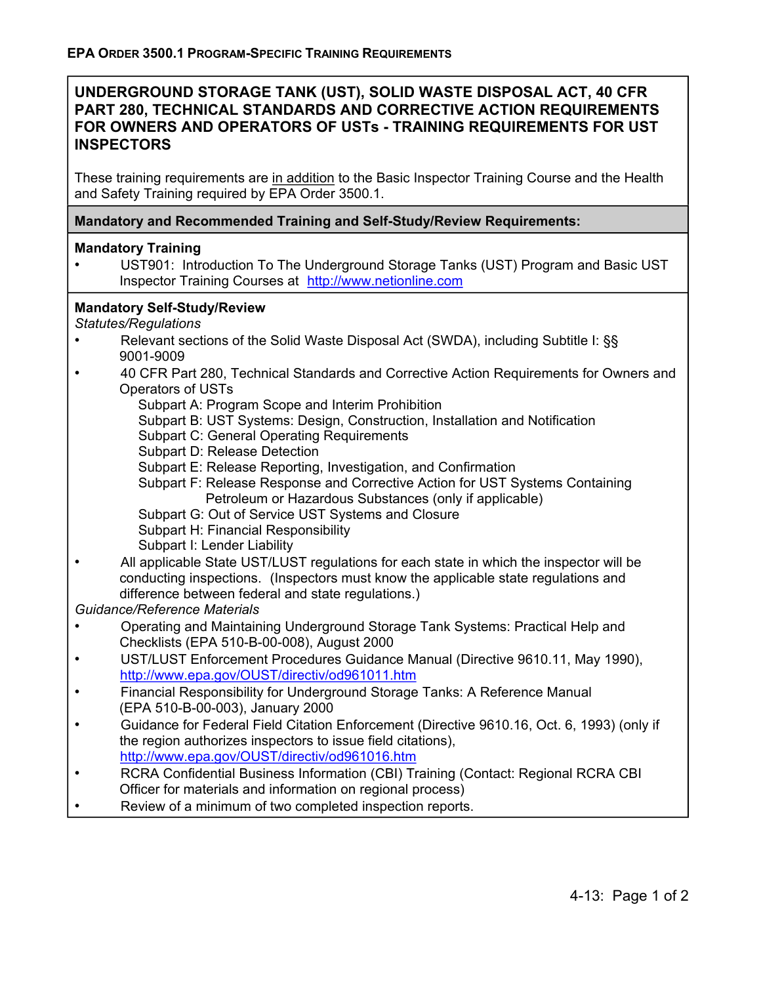# **UNDERGROUND STORAGE TANK (UST), SOLID WASTE DISPOSAL ACT, 40 CFR PART 280, TECHNICAL STANDARDS AND CORRECTIVE ACTION REQUIREMENTS FOR OWNERS AND OPERATORS OF USTs - TRAINING REQUIREMENTS FOR UST INSPECTORS**

These training requirements are in addition to the Basic Inspector Training Course and the Health and Safety Training required by EPA Order 3500.1.

### **Mandatory and Recommended Training and Self-Study/Review Requirements:**

#### **Mandatory Training**

• UST901: Introduction To The Underground Storage Tanks (UST) Program and Basic UST Inspector Training Courses at http://www.netionline.com

#### **Mandatory Self-Study/Review**

*Statutes/Regulations* 

- Relevant sections of the Solid Waste Disposal Act (SWDA), including Subtitle I: §§ 9001-9009
- 40 CFR Part 280, Technical Standards and Corrective Action Requirements for Owners and Operators of USTs
	- Subpart A: Program Scope and Interim Prohibition
	- Subpart B: UST Systems: Design, Construction, Installation and Notification
	- Subpart C: General Operating Requirements
	- Subpart D: Release Detection
	- Subpart E: Release Reporting, Investigation, and Confirmation
	- Subpart F: Release Response and Corrective Action for UST Systems Containing Petroleum or Hazardous Substances (only if applicable)
	- Subpart G: Out of Service UST Systems and Closure
	- Subpart H: Financial Responsibility
	- Subpart I: Lender Liability
- All applicable State UST/LUST regulations for each state in which the inspector will be conducting inspections. (Inspectors must know the applicable state regulations and difference between federal and state regulations.)

*Guidance/Reference Materials* 

- Operating and Maintaining Underground Storage Tank Systems: Practical Help and Checklists (EPA 510-B-00-008), August 2000
- UST/LUST Enforcement Procedures Guidance Manual (Directive 9610.11, May 1990), http://www.epa.gov/OUST/directiv/od961011.htm
- Financial Responsibility for Underground Storage Tanks: A Reference Manual (EPA 510-B-00-003), January 2000
- Guidance for Federal Field Citation Enforcement (Directive 9610.16, Oct. 6, 1993) (only if the region authorizes inspectors to issue field citations), http://www.epa.gov/OUST/directiv/od961016.htm
- RCRA Confidential Business Information (CBI) Training (Contact: Regional RCRA CBI Officer for materials and information on regional process)
- Review of a minimum of two completed inspection reports.